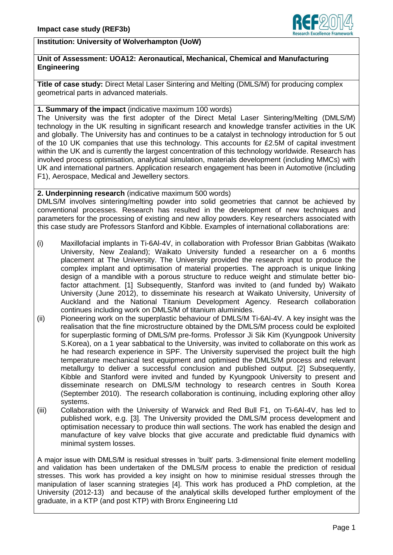

# **Institution: University of Wolverhampton (UoW)**

### **Unit of Assessment: UOA12: Aeronautical, Mechanical, Chemical and Manufacturing Engineering**

**Title of case study:** Direct Metal Laser Sintering and Melting (DMLS/M) for producing complex geometrical parts in advanced materials.

### **1. Summary of the impact** (indicative maximum 100 words)

The University was the first adopter of the Direct Metal Laser Sintering/Melting (DMLS/M) technology in the UK resulting in significant research and knowledge transfer activities in the UK and globally. The University has and continues to be a catalyst in technology introduction for 5 out of the 10 UK companies that use this technology. This accounts for £2.5M of capital investment within the UK and is currently the largest concentration of this technology worldwide. Research has involved process optimisation, analytical simulation, materials development (including MMCs) with UK and international partners. Application research engagement has been in Automotive (including F1), Aerospace, Medical and Jewellery sectors.

## **2. Underpinning research** (indicative maximum 500 words)

DMLS/M involves sintering/melting powder into solid geometries that cannot be achieved by conventional processes. Research has resulted in the development of new techniques and parameters for the processing of existing and new alloy powders. Key researchers associated with this case study are Professors Stanford and Kibble. Examples of international collaborations are:

- (i) Maxillofacial implants in Ti-6Al-4V, in collaboration with Professor Brian Gabbitas (Waikato University, New Zealand); Waikato University funded a researcher on a 6 months placement at The University. The University provided the research input to produce the complex implant and optimisation of material properties. The approach is unique linking design of a mandible with a porous structure to reduce weight and stimulate better biofactor attachment. [1] Subsequently, Stanford was invited to (and funded by) Waikato University (June 2012), to disseminate his research at Waikato University, University of Auckland and the National Titanium Development Agency. Research collaboration continues including work on DMLS/M of titanium aluminides.
- (ii) Pioneering work on the superplastic behaviour of DMLS/M Ti-6Al-4V. A key insight was the realisation that the fine microstructure obtained by the DMLS/M process could be exploited for superplastic forming of DMLS/M pre-forms. Professor Ji Sik Kim (Kyungpook University S.Korea), on a 1 year sabbatical to the University, was invited to collaborate on this work as he had research experience in SPF. The University supervised the project built the high temperature mechanical test equipment and optimised the DMLS/M process and relevant metallurgy to deliver a successful conclusion and published output. [2] Subsequently, Kibble and Stanford were invited and funded by Kyungpook University to present and disseminate research on DMLS/M technology to research centres in South Korea (September 2010). The research collaboration is continuing, including exploring other alloy systems.
- (iii) Collaboration with the University of Warwick and Red Bull F1, on Ti-6Al-4V, has led to published work, e.g. [3]. The University provided the DMLS/M process development and optimisation necessary to produce thin wall sections. The work has enabled the design and manufacture of key valve blocks that give accurate and predictable fluid dynamics with minimal system losses.

A major issue with DMLS/M is residual stresses in 'built' parts. 3-dimensional finite element modelling and validation has been undertaken of the DMLS/M process to enable the prediction of residual stresses. This work has provided a key insight on how to minimise residual stresses through the manipulation of laser scanning strategies [4]. This work has produced a PhD completion, at the University (2012-13) and because of the analytical skills developed further employment of the graduate, in a KTP (and post KTP) with Bronx Engineering Ltd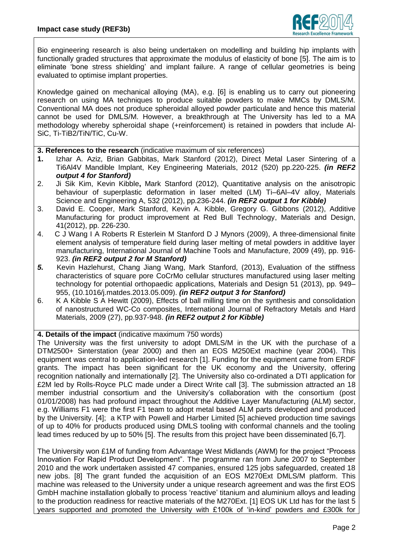

Bio engineering research is also being undertaken on modelling and building hip implants with functionally graded structures that approximate the modulus of elasticity of bone [5]. The aim is to eliminate 'bone stress shielding' and implant failure. A range of cellular geometries is being evaluated to optimise implant properties.

Knowledge gained on mechanical alloying (MA), e.g. [6] is enabling us to carry out pioneering research on using MA techniques to produce suitable powders to make MMCs by DMLS/M. Conventional MA does not produce spheroidal alloyed powder particulate and hence this material cannot be used for DMLS/M. However, a breakthrough at The University has led to a MA methodology whereby spheroidal shape (+reinforcement) is retained in powders that include Al-SiC, Ti-TiB2/TiN/TiC, Cu-W.

- **3. References to the research** (indicative maximum of six references)
- **1.** Izhar A. Aziz, Brian Gabbitas, Mark Stanford (2012), Direct Metal Laser Sintering of a Ti6Al4V Mandible Implant, Key Engineering Materials, 2012 (520) pp.220-225. *(in REF2 output 4 for Stanford)*
- 2. Ji Sik Kim, Kevin Kibble**,** Mark Stanford (2012), Quantitative analysis on the anisotropic behaviour of superplastic deformation in laser melted (LM) Ti–6Al–4V alloy, Materials Science and Engineering A, 532 (2012), pp.236-244. *(in REF2 output 1 for Kibble)*
- 3. David E. Cooper, Mark Stanford, Kevin A. Kibble, Gregory G. Gibbons (2012), Additive Manufacturing for product improvement at Red Bull Technology, Materials and Design, 41(2012), pp. 226-230.
- 4. C J Wang I A Roberts R Esterlein M Stanford D J Mynors (2009), A three-dimensional finite element analysis of temperature field during laser melting of metal powders in additive layer manufacturing, International Journal of Machine Tools and Manufacture, 2009 (49), pp. 916- 923. *(in REF2 output 2 for M Stanford)*
- *5.* Kevin Hazlehurst, Chang Jiang Wang, Mark Stanford, (2013), Evaluation of the stiffness characteristics of square pore CoCrMo cellular structures manufactured using laser melting technology for potential orthopaedic applications, Materials and Design 51 (2013), pp. 949– 955, (10.1016/j.matdes.2013.05.009). *(in REF2 output 3 for Stanford)*
- 6. K A Kibble S A Hewitt (2009), Effects of ball milling time on the synthesis and consolidation of nanostructured WC-Co composites, International Journal of Refractory Metals and Hard Materials, 2009 (27), pp.937-948. *(in REF2 output 2 for Kibble)*

**4. Details of the impact** (indicative maximum 750 words)

The University was the first university to adopt DMLS/M in the UK with the purchase of a DTM2500+ Sinterstation (year 2000) and then an EOS M250Ext machine (year 2004). This equipment was central to application-led research [1]. Funding for the equipment came from ERDF grants. The impact has been significant for the UK economy and the University, offering recognition nationally and internationally [2]. The University also co-ordinated a DTI application for £2M led by Rolls-Royce PLC made under a Direct Write call [3]. The submission attracted an 18 member industrial consortium and the University's collaboration with the consortium (post 01/01/2008) has had profound impact throughout the Additive Layer Manufacturing (ALM) sector, e.g. Williams F1 were the first F1 team to adopt metal based ALM parts developed and produced by the University. [4]; a KTP with Powell and Harber Limited [5] achieved production time savings of up to 40% for products produced using DMLS tooling with conformal channels and the tooling lead times reduced by up to 50% [5]. The results from this project have been disseminated [6,7].

The University won £1M of funding from Advantage West Midlands (AWM) for the project "Process Innovation For Rapid Product Development". The programme ran from June 2007 to September 2010 and the work undertaken assisted 47 companies, ensured 125 jobs safeguarded, created 18 new jobs. [8] The grant funded the acquisition of an EOS M270Ext DMLS/M platform. This machine was released to the University under a unique research agreement and was the first EOS GmbH machine installation globally to process 'reactive' titanium and aluminium alloys and leading to the production readiness for reactive materials of the M270Ext. [1] EOS UK Ltd has for the last 5 years supported and promoted the University with £100k of 'in-kind' powders and £300k for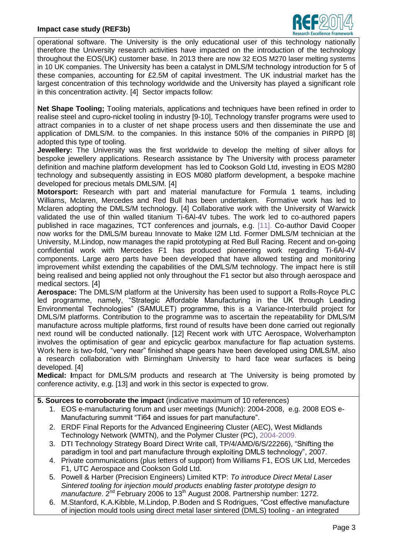

operational software. The University is the only educational user of this technology nationally therefore the University research activities have impacted on the introduction of the technology throughout the EOS(UK) customer base. In 2013 there are now 32 EOS M270 laser melting systems in 10 UK companies. The University has been a catalyst in DMLS/M technology introduction for 5 of these companies, accounting for £2.5M of capital investment. The UK industrial market has the largest concentration of this technology worldwide and the University has played a significant role in this concentration activity. [4] Sector impacts follow:

**Net Shape Tooling;** Tooling materials, applications and techniques have been refined in order to realise steel and cupro-nickel tooling in industry [9-10], Technology transfer programs were used to attract companies in to a cluster of net shape process users and then disseminate the use and application of DMLS/M. to the companies. In this instance 50% of the companies in PIRPD [8] adopted this type of tooling.

**Jewellery:** The University was the first worldwide to develop the melting of silver alloys for bespoke jewellery applications. Research assistance by The University with process parameter definition and machine platform development has led to Cookson Gold Ltd, investing in EOS M280 technology and subsequently assisting in EOS M080 platform development, a bespoke machine developed for precious metals DMLS/M. [4]

**Motorsport:** Research with part and material manufacture for Formula 1 teams, including Williams, Mclaren, Mercedes and Red Bull has been undertaken. Formative work has led to Mclaren adopting the DMLS/M technology. [4] Collaborative work with the University of Warwick validated the use of thin walled titanium Ti-6Al-4V tubes. The work led to co-authored papers published in race magazines, TCT conferences and journals, e.g. [11]. Co-author David Cooper now works for the DMLS/M bureau Innovate to Make I2M Ltd. Former DMLS/M technician at the University, M.Lindop, now manages the rapid prototyping at Red Bull Racing. Recent and on-going confidential work with Mercedes F1 has produced pioneering work regarding Ti-6Al-4V components. Large aero parts have been developed that have allowed testing and monitoring improvement whilst extending the capabilities of the DMLS/M technology. The impact here is still being realised and being applied not only throughout the F1 sector but also through aerospace and medical sectors. [4]

**Aerospace:** The DMLS/M platform at the University has been used to support a Rolls-Royce PLC led programme, namely, "Strategic Affordable Manufacturing in the UK through Leading Environmental Technologies" (SAMULET) programme, this is a Variance-Interbuild project for DMLS/M platforms. Contribution to the programme was to ascertain the repeatability for DMLS/M manufacture across multiple platforms, first round of results have been done carried out regionally next round will be conducted nationally. [12] Recent work with UTC Aerospace, Wolverhampton involves the optimisation of gear and epicyclic gearbox manufacture for flap actuation systems. Work here is two-fold, "very near" finished shape gears have been developed using DMLS/M, also a research collaboration with Birmingham University to hard face wear surfaces is being developed. [4]

**Medical: I**mpact for DMLS/M products and research at The University is being promoted by conference activity, e.g. [13] and work in this sector is expected to grow.

#### **5. Sources to corroborate the impact** (indicative maximum of 10 references)

- 1. EOS e-manufacturing forum and user meetings (Munich): 2004-2008, e.g. 2008 EOS e-Manufacturing summit "Ti64 and issues for part manufacture".
- 2. ERDF Final Reports for the Advanced Engineering Cluster (AEC), West Midlands Technology Network (WMTN), and the Polymer Cluster (PC), 2004-2009.
- 3. DTI Technology Strategy Board Direct Write call, TP/4/AMD/6/S/22266), "Shifting the paradigm in tool and part manufacture through exploiting DMLS technology", 2007.
- 4. Private communications (plus letters of support) from Williams F1, EOS UK Ltd, Mercedes F1, UTC Aerospace and Cookson Gold Ltd.
- 5. Powell & Harber (Precision Engineers) Limited KTP: *To introduce Direct Metal Laser Sintered tooling for injection mould products enabling faster prototype design to manufacture*. 2<sup>nd</sup> February 2006 to 13<sup>th</sup> August 2008. Partnership number: 1272.
- 6. M.Stanford, K.A.Kibble, M.Lindop, P.Boden and S Rodrigues, "Cost effective manufacture of injection mould tools using direct metal laser sintered (DMLS) tooling - an integrated